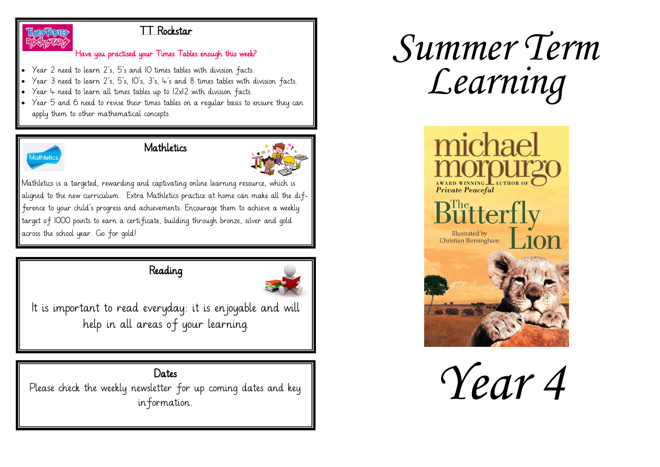

#### TT Rockstar

#### Have you practised your Times Tables enough this week?

- Year 2 need to learn 2's, 5's and 10 times tables with division facts.
- Year 3 need to learn 2's, 5's, 10's, 3's, 4's and 8 times tables with division facts.
- Year 4 need to learn all times tables up to 12x12 with division facts.
- Year 5 and 6 need to revise their times tables on a regular basis to ensure they can apply them to other mathematical concepts.



#### **Mathletics**



Mathletics is a targeted, rewarding and captivating online learning resource, which is aligned to the new curriculum. Extra Mathletics practice at home can make all the difference to your child's progress and achievements. Encourage them to achieve a weekly target of 1000 points to earn a certificate, building through bronze, silver and gold across the school year. Go for gold!

# Reading



It is important to read everyday: it is enjoyable and will help in all areas of your learning.

## Dates

Please check the weekly newsletter for up coming dates and key information.

# *Summer Term Learning*



*Year 4*